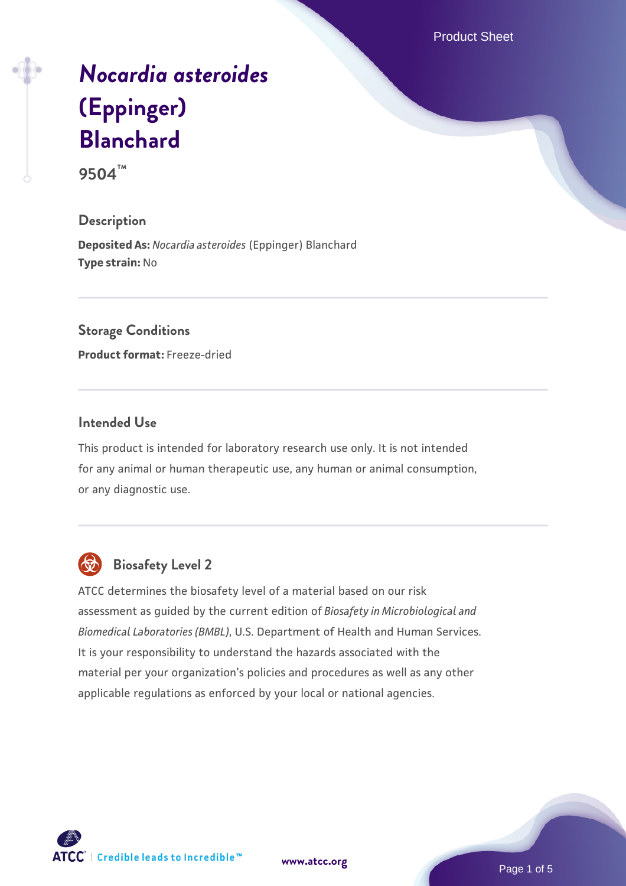Product Sheet

# *[Nocardia asteroides](https://www.atcc.org/products/9504)* **[\(Eppinger\)](https://www.atcc.org/products/9504) [Blanchard](https://www.atcc.org/products/9504)**

**9504™**

# **Description**

**Deposited As:** *Nocardia asteroides* (Eppinger) Blanchard **Type strain:** No

# **Storage Conditions**

**Product format:** Freeze-dried

### **Intended Use**

This product is intended for laboratory research use only. It is not intended for any animal or human therapeutic use, any human or animal consumption, or any diagnostic use.



# **Biosafety Level 2**

ATCC determines the biosafety level of a material based on our risk assessment as guided by the current edition of *Biosafety in Microbiological and Biomedical Laboratories (BMBL)*, U.S. Department of Health and Human Services. It is your responsibility to understand the hazards associated with the material per your organization's policies and procedures as well as any other applicable regulations as enforced by your local or national agencies.

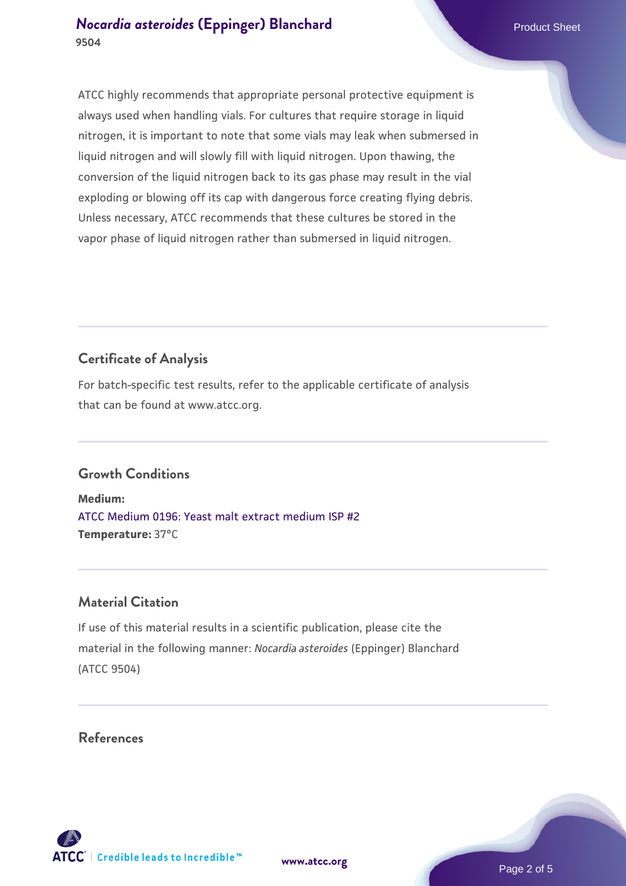# **[Nocardia asteroides](https://www.atcc.org/products/9504) [\(Eppinger\) Blanchard](https://www.atcc.org/products/9504)** Product Sheet **9504**

ATCC highly recommends that appropriate personal protective equipment is always used when handling vials. For cultures that require storage in liquid nitrogen, it is important to note that some vials may leak when submersed in liquid nitrogen and will slowly fill with liquid nitrogen. Upon thawing, the conversion of the liquid nitrogen back to its gas phase may result in the vial exploding or blowing off its cap with dangerous force creating flying debris. Unless necessary, ATCC recommends that these cultures be stored in the vapor phase of liquid nitrogen rather than submersed in liquid nitrogen.

# **Certificate of Analysis**

For batch-specific test results, refer to the applicable certificate of analysis that can be found at www.atcc.org.

# **Growth Conditions**

**Medium:**  [ATCC Medium 0196: Yeast malt extract medium ISP #2](https://www.atcc.org/-/media/product-assets/documents/microbial-media-formulations/1/9/6/atcc-medium-0196.pdf?rev=3ab98ce3034f46208b34017336aa4c86) **Temperature:** 37°C

# **Material Citation**

If use of this material results in a scientific publication, please cite the material in the following manner: *Nocardia asteroides* (Eppinger) Blanchard (ATCC 9504)

# **References**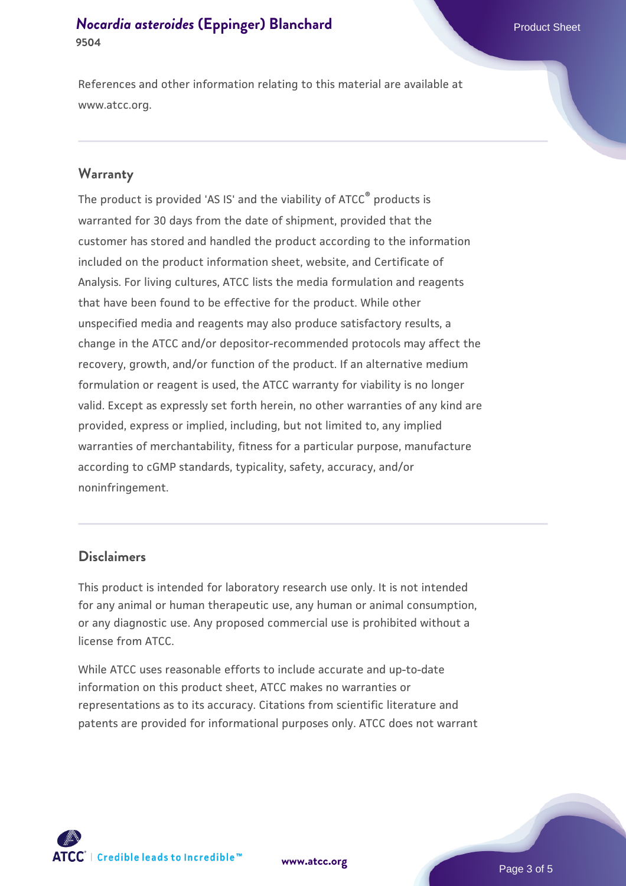# **[Nocardia asteroides](https://www.atcc.org/products/9504) [\(Eppinger\) Blanchard](https://www.atcc.org/products/9504)** Product Sheet **9504**

References and other information relating to this material are available at www.atcc.org.

### **Warranty**

The product is provided 'AS IS' and the viability of ATCC® products is warranted for 30 days from the date of shipment, provided that the customer has stored and handled the product according to the information included on the product information sheet, website, and Certificate of Analysis. For living cultures, ATCC lists the media formulation and reagents that have been found to be effective for the product. While other unspecified media and reagents may also produce satisfactory results, a change in the ATCC and/or depositor-recommended protocols may affect the recovery, growth, and/or function of the product. If an alternative medium formulation or reagent is used, the ATCC warranty for viability is no longer valid. Except as expressly set forth herein, no other warranties of any kind are provided, express or implied, including, but not limited to, any implied warranties of merchantability, fitness for a particular purpose, manufacture according to cGMP standards, typicality, safety, accuracy, and/or noninfringement.

### **Disclaimers**

This product is intended for laboratory research use only. It is not intended for any animal or human therapeutic use, any human or animal consumption, or any diagnostic use. Any proposed commercial use is prohibited without a license from ATCC.

While ATCC uses reasonable efforts to include accurate and up-to-date information on this product sheet, ATCC makes no warranties or representations as to its accuracy. Citations from scientific literature and patents are provided for informational purposes only. ATCC does not warrant



**[www.atcc.org](http://www.atcc.org)**

Page 3 of 5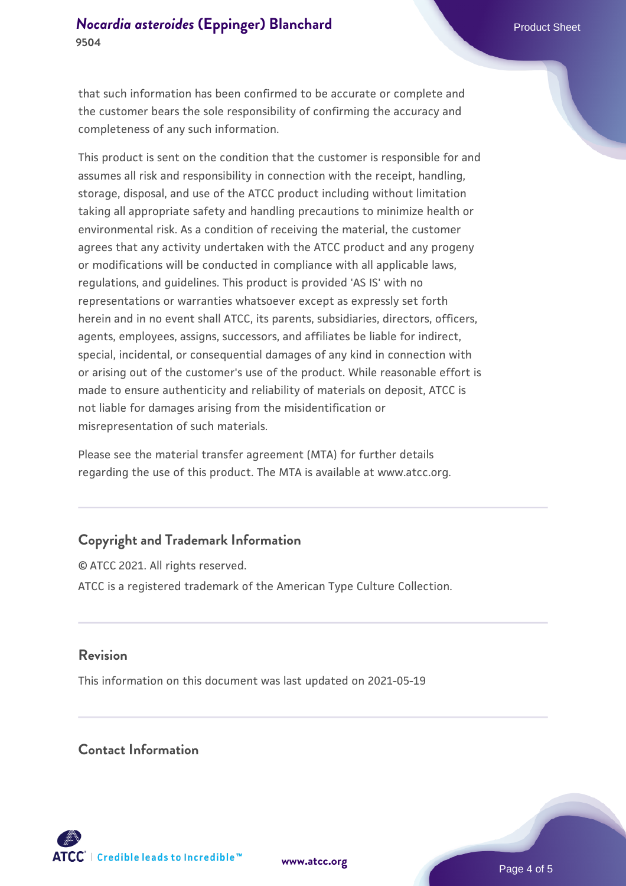that such information has been confirmed to be accurate or complete and the customer bears the sole responsibility of confirming the accuracy and completeness of any such information.

This product is sent on the condition that the customer is responsible for and assumes all risk and responsibility in connection with the receipt, handling, storage, disposal, and use of the ATCC product including without limitation taking all appropriate safety and handling precautions to minimize health or environmental risk. As a condition of receiving the material, the customer agrees that any activity undertaken with the ATCC product and any progeny or modifications will be conducted in compliance with all applicable laws, regulations, and guidelines. This product is provided 'AS IS' with no representations or warranties whatsoever except as expressly set forth herein and in no event shall ATCC, its parents, subsidiaries, directors, officers, agents, employees, assigns, successors, and affiliates be liable for indirect, special, incidental, or consequential damages of any kind in connection with or arising out of the customer's use of the product. While reasonable effort is made to ensure authenticity and reliability of materials on deposit, ATCC is not liable for damages arising from the misidentification or misrepresentation of such materials.

Please see the material transfer agreement (MTA) for further details regarding the use of this product. The MTA is available at www.atcc.org.

# **Copyright and Trademark Information**

© ATCC 2021. All rights reserved. ATCC is a registered trademark of the American Type Culture Collection.

### **Revision**

This information on this document was last updated on 2021-05-19

## **Contact Information**



**[www.atcc.org](http://www.atcc.org)**